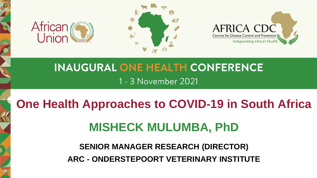





## **INAUGURAL ONE HEALTH CONFERENCE** 1 - 3 November 2021

## **One Health Approaches to COVID-19 in South Africa**

# **MISHECK MULUMBA, PhD**

### **SENIOR MANAGER RESEARCH (DIRECTOR) ARC - ONDERSTEPOORT VETERINARY INSTITUTE**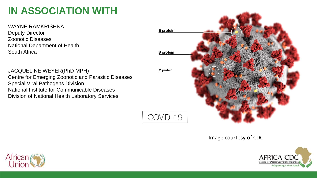## **IN ASSOCIATION WITH**

WAYNE RAMKRISHNA Deputy Director Zoonotic Diseases National Department of Health South Africa

JACQUELINE WEYER(PhD MPH) Centre for Emerging Zoonotic and Parasitic Diseases Special Viral Pathogens Division National Institute for Communicable Diseases Division of National Health Laboratory Services



COVID-19

Image courtesy of CDC



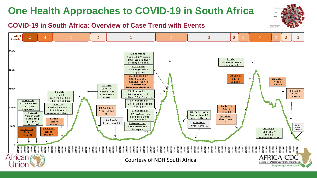#### **COVID-19 in South Africa: Overview of Case Trend with Events**



COMD-19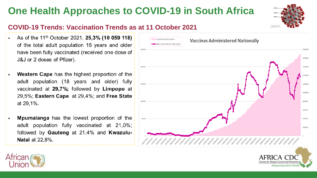

- As of the 11<sup>th</sup> October 2021, **25,3% (10 059 118)** of the total adult population 18 years and older have been fully vaccinated (received one dose of J&J or 2 doses of Pfizer).
- **Western Cape** has the highest proportion of the adult population (18 years and older) fully vaccinated at 29,7%; followed by Limpopo at 29,5%; Eastern Cape at 29,4%; and Free State at 29,1%.
- **Mpumalanga** has the lowest proportion of the adult population fully vaccinated at 21,0%; followed by Gauteng at 21,4% and Kwazulu-**Natal** at 22,8%.





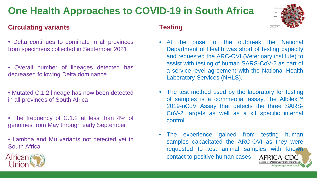#### **Circulating variants**

- Delta continues to dominate in all provinces from specimens collected in September 2021
- Overall number of lineages detected has decreased following Delta dominance
- Mutated C.1.2 lineage has now been detected in all provinces of South Africa
- The frequency of C.1.2 at less than 4% of genomes from May through early September
- Lambda and Mu variants not detected yet in South Africa

#### **Testing**



- At the onset of the outbreak the National Department of Health was short of testing capacity and requested the ARC-OVI (Veterinary institute) to assist with testing of human SARS-CoV-2 as part of a service level agreement with the National Health Laboratory Services (NHLS).
- The test method used by the laboratory for testing of samples is a commercial assay, the Allplex<sup>™</sup> 2019-nCoV Assay that detects the three SARS-CoV-2 targets as well as a kit specific internal control.
- The experience gained from testing human samples capacitated the ARC-OVI as they were requested to test animal samples with known contact to positive human cases. AFRICA

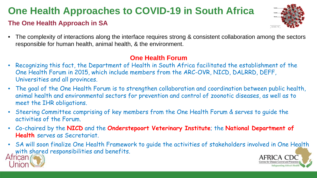#### **The One Health Approach in SA**



• The complexity of interactions along the interface requires strong & consistent collaboration among the sectors responsible for human health, animal health, & the environment.

#### **One Health Forum**

- Recognizing this fact, the Department of Health in South Africa facilitated the establishment of the One Health Forum in 2015, which include members from the ARC-OVR, NICD, DALRRD, DEFF, Universities and all provinces.
- The goal of the One Health Forum is to strengthen collaboration and coordination between public health, animal health and environmental sectors for prevention and control of zoonotic diseases, as well as to meet the IHR obligations.
- Steering Committee comprising of key members from the One Health Forum & serves to guide the activities of the Forum.
- Co-chaired by the **NICD** and the **Onderstepoort Veterinary Institute**; the **National Department of Health** serves as Secretariat.
- SA will soon finalize One Health Framework to guide the activities of stakeholders involved in One Health with shared responsibilities and benefits.



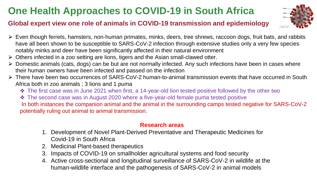#### **Global expert view one role of animals in COVID-19 transmission and epidemiology**



- ⮚ Even though ferrets, hamsters, non-human primates, minks, deers, tree shrews, raccoon dogs, fruit bats, and rabbits have all been shown to be susceptible to SARS-CoV-2 infection through extensive studies only a very few species notably minks and deer have been significantly affected in their natural environment
- $\triangleright$  Others infected in a zoo setting are lions, tigers and the Asian small-clawed otter.
- $\triangleright$  Domestic animals (cats, dogs) can be but are not normally infected. Any such infections have been in cases where their human owners have been infected and passed on the infection
- ⮚ There have been two occurrences of SARS-CoV-2 human-to-animal transmission events that have occurred in South Africa both in zoo animals ; 3 lions and 1 puma
	- ❖ The first case was in June 2021 when first, a 14-year-old lion tested positive followed by the other two
	- ❖ The second case was in August 2020 where a five-year-old female puma tested positive

In both instances the companion animal and the animal in the surrounding camps tested negative for SARS-CoV-2 potentially ruling out animal to animal transmission.

#### **Research areas**

- 1. Development of Novel Plant-Derived Preventative and Therapeutic Medicines for Covid-19 in South Africa
- 2. Medicinal Plant-based therapeutics
- 3. Impacts of COVID-19 on smallholder agricultural systems and food security
- 4. Active cross-sectional and longitudinal surveillance of SARS-CoV-2 in wildlife at the human-wildlife interface and the pathogenesis of SARS-CoV-2 in animal models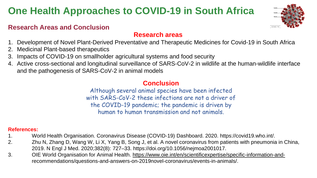#### **Research Areas and Conclusion**

#### **Research areas**

- 1. Development of Novel Plant-Derived Preventative and Therapeutic Medicines for Covid-19 in South Africa
- 2. Medicinal Plant-based therapeutics
- 3. Impacts of COVID-19 on smallholder agricultural systems and food security
- 4. Active cross-sectional and longitudinal surveillance of SARS-CoV-2 in wildlife at the human-wildlife interface and the pathogenesis of SARS-CoV-2 in animal models

#### **Conclusion**

Although several animal species have been infected with SARS-CoV-2 these infections are not a driver of the COVID-19 pandemic; the pandemic is driven by human to human transmission and not animals.

#### **References:**

- 1. World Health Organisation. Coronavirus Disease (COVID-19) Dashboard. 2020. https://covid19.who.int/.
- 2. Zhu N, Zhang D, Wang W, Li X, Yang B, Song J, et al. A novel coronavirus from patients with pneumonia in China, 2019. N Engl J Med. 2020;382(8): 727–33. https://doi.org/10.1056/nejmoa2001017.
- 3. OIE World Organisation for Animal Health. [https://www.oie.int/en/scientificexpertise/specific-information-and](https://www.oie.int/en/scientificexpertise/specific-information-and-)recommendations/questions-and-answers-on-2019novel-coronavirus/events-in-animals/.